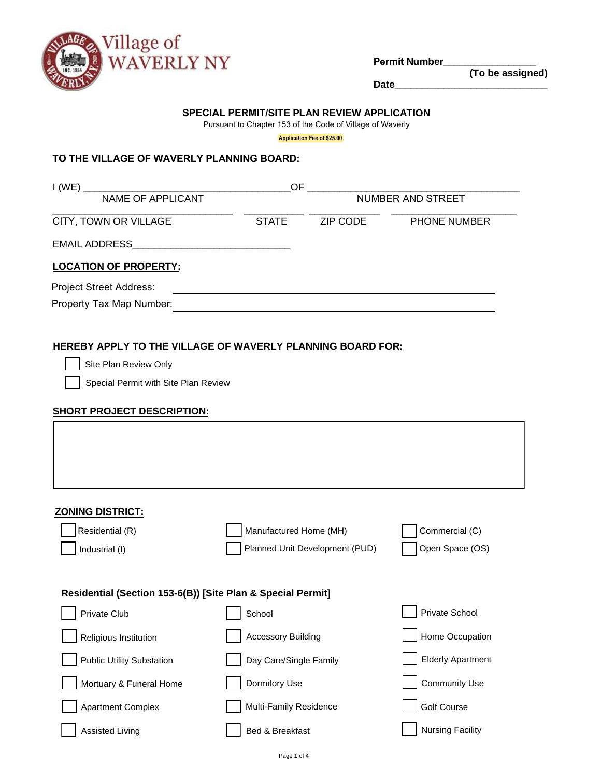

**Permit Number\_\_\_\_\_\_\_\_\_\_\_\_\_\_\_\_\_**

**(To be assigned)**

**Date\_\_\_\_\_\_\_\_\_\_\_\_\_\_\_\_\_\_\_\_\_\_\_\_\_\_\_\_**

## **SPECIAL PERMIT/SITE PLAN REVIEW APPLICATION**

Pursuant to Chapter 153 of the Code of Village of Waverly

**Application Fee of \$25.00**

# **TO THE VILLAGE OF WAVERLY PLANNING BOARD:**

| I (WE)                         | OF                       |                 |              |
|--------------------------------|--------------------------|-----------------|--------------|
| NAME OF APPLICANT              | <b>NUMBER AND STREET</b> |                 |              |
| CITY, TOWN OR VILLAGE          | <b>STATE</b>             | <b>ZIP CODE</b> | PHONE NUMBER |
| <b>EMAIL ADDRESS</b>           |                          |                 |              |
| <b>LOCATION OF PROPERTY:</b>   |                          |                 |              |
| <b>Project Street Address:</b> |                          |                 |              |
| Property Tax Map Number:       |                          |                 |              |
|                                |                          |                 |              |

# **HEREBY APPLY TO THE VILLAGE OF WAVERLY PLANNING BOARD FOR:**

Site Plan Review Only

Special Permit with Site Plan Review

| <b>SHORT PROJECT DESCRIPTION:</b>                           |                                |                          |
|-------------------------------------------------------------|--------------------------------|--------------------------|
|                                                             |                                |                          |
|                                                             |                                |                          |
|                                                             |                                |                          |
| <b>ZONING DISTRICT:</b>                                     |                                |                          |
| Residential (R)                                             | Manufactured Home (MH)         | Commercial (C)           |
| Industrial (I)                                              | Planned Unit Development (PUD) | Open Space (OS)          |
|                                                             |                                |                          |
| Residential (Section 153-6(B)) [Site Plan & Special Permit] |                                |                          |
| Private Club                                                | School                         | Private School           |
| Religious Institution                                       | <b>Accessory Building</b>      | Home Occupation          |
| <b>Public Utility Substation</b>                            | Day Care/Single Family         | <b>Elderly Apartment</b> |
| Mortuary & Funeral Home                                     | Dormitory Use                  | <b>Community Use</b>     |
| <b>Apartment Complex</b>                                    | Multi-Family Residence         | <b>Golf Course</b>       |
| <b>Assisted Living</b>                                      | <b>Bed &amp; Breakfast</b>     | <b>Nursing Facility</b>  |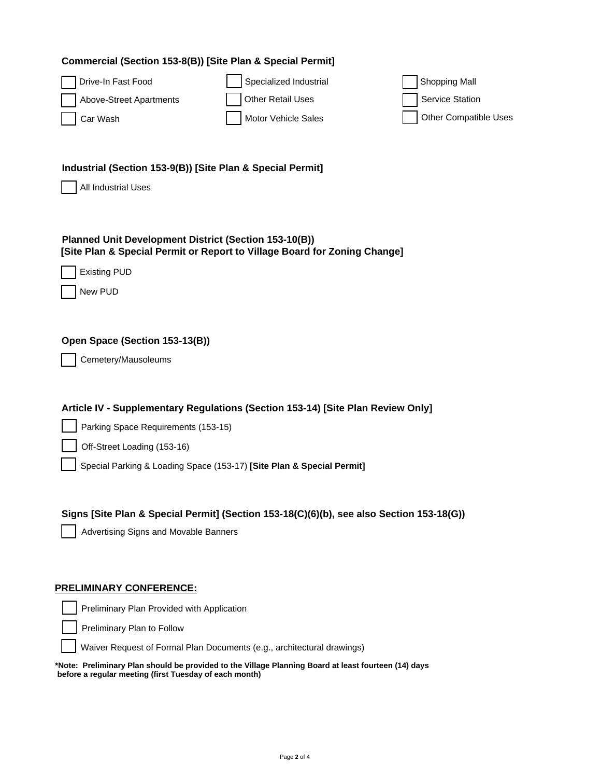| Commercial (Section 153-8(B)) [Site Plan & Special Permit] |  |  |  |  |  |
|------------------------------------------------------------|--|--|--|--|--|
|------------------------------------------------------------|--|--|--|--|--|

| Drive-In Fast Food      | Specialized Industrial | Shopping Mall         |
|-------------------------|------------------------|-----------------------|
| Above-Street Apartments | Other Retail Uses      | Service Station       |
| Car Wash                | Motor Vehicle Sales    | Other Compatible Uses |

### Industrial (Section 153-9(B)) [Site Plan & Special Permit]

All Industrial Uses

#### Planned Unit Development District (Section 153-10(B)) [Site Plan & Special Permit or Report to Village Board for Zoning Change]

**Existing PUD** 

New PUD

### Open Space (Section 153-13(B))

Cemetery/Mausoleums

### Article IV - Supplementary Regulations (Section 153-14) [Site Plan Review Only]

Parking Space Requirements (153-15)

Off-Street Loading (153-16)

Special Parking & Loading Space (153-17) [Site Plan & Special Permit]

### Signs [Site Plan & Special Permit] (Section 153-18(C)(6)(b), see also Section 153-18(G))

Advertising Signs and Movable Banners

#### **PRELIMINARY CONFERENCE:**

Preliminary Plan Provided with Application

Preliminary Plan to Follow

Waiver Request of Formal Plan Documents (e.g., architectural drawings)

\*Note: Preliminary Plan should be provided to the Village Planning Board at least fourteen (14) days before a regular meeting (first Tuesday of each month)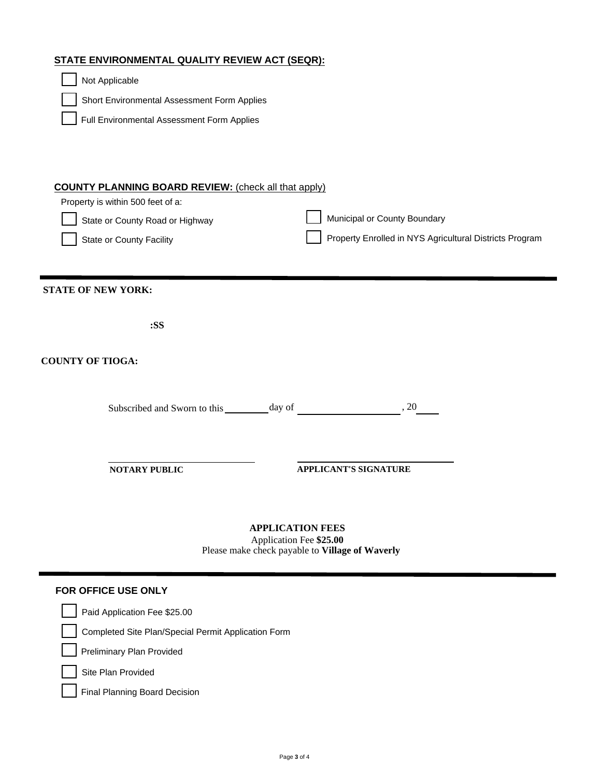# STATE ENVIRONMENTAL QUALITY REVIEW ACT (SEQR):

| Not Applicable                                                                                                                                                  |                                                                                         |  |  |
|-----------------------------------------------------------------------------------------------------------------------------------------------------------------|-----------------------------------------------------------------------------------------|--|--|
| Short Environmental Assessment Form Applies                                                                                                                     |                                                                                         |  |  |
| Full Environmental Assessment Form Applies                                                                                                                      |                                                                                         |  |  |
| <b>COUNTY PLANNING BOARD REVIEW:</b> (check all that apply)<br>Property is within 500 feet of a:<br>State or County Road or Highway<br>State or County Facility | Municipal or County Boundary<br>Property Enrolled in NYS Agricultural Districts Program |  |  |
| <b>STATE OF NEW YORK:</b>                                                                                                                                       |                                                                                         |  |  |
| :SS                                                                                                                                                             |                                                                                         |  |  |
| <b>COUNTY OF TIOGA:</b>                                                                                                                                         |                                                                                         |  |  |
| Subscribed and Sworn to this $\_\_\_\_$ day of $\_\_\_\_\_\_$ . 20                                                                                              |                                                                                         |  |  |
| <b>NOTARY PUBLIC</b>                                                                                                                                            | <b>APPLICANT'S SIGNATURE</b>                                                            |  |  |
| <b>APPLICATION FEES</b><br>Application Fee \$25.00<br>Please make check payable to Village of Waverly                                                           |                                                                                         |  |  |
| FOR OFFICE USE ONLY                                                                                                                                             |                                                                                         |  |  |
| Paid Application Fee \$25.00                                                                                                                                    |                                                                                         |  |  |
| Completed Site Plan/Special Permit Application Form                                                                                                             |                                                                                         |  |  |
| Preliminary Plan Provided                                                                                                                                       |                                                                                         |  |  |
| Site Plan Provided                                                                                                                                              |                                                                                         |  |  |
| <b>Final Planning Board Decision</b>                                                                                                                            |                                                                                         |  |  |